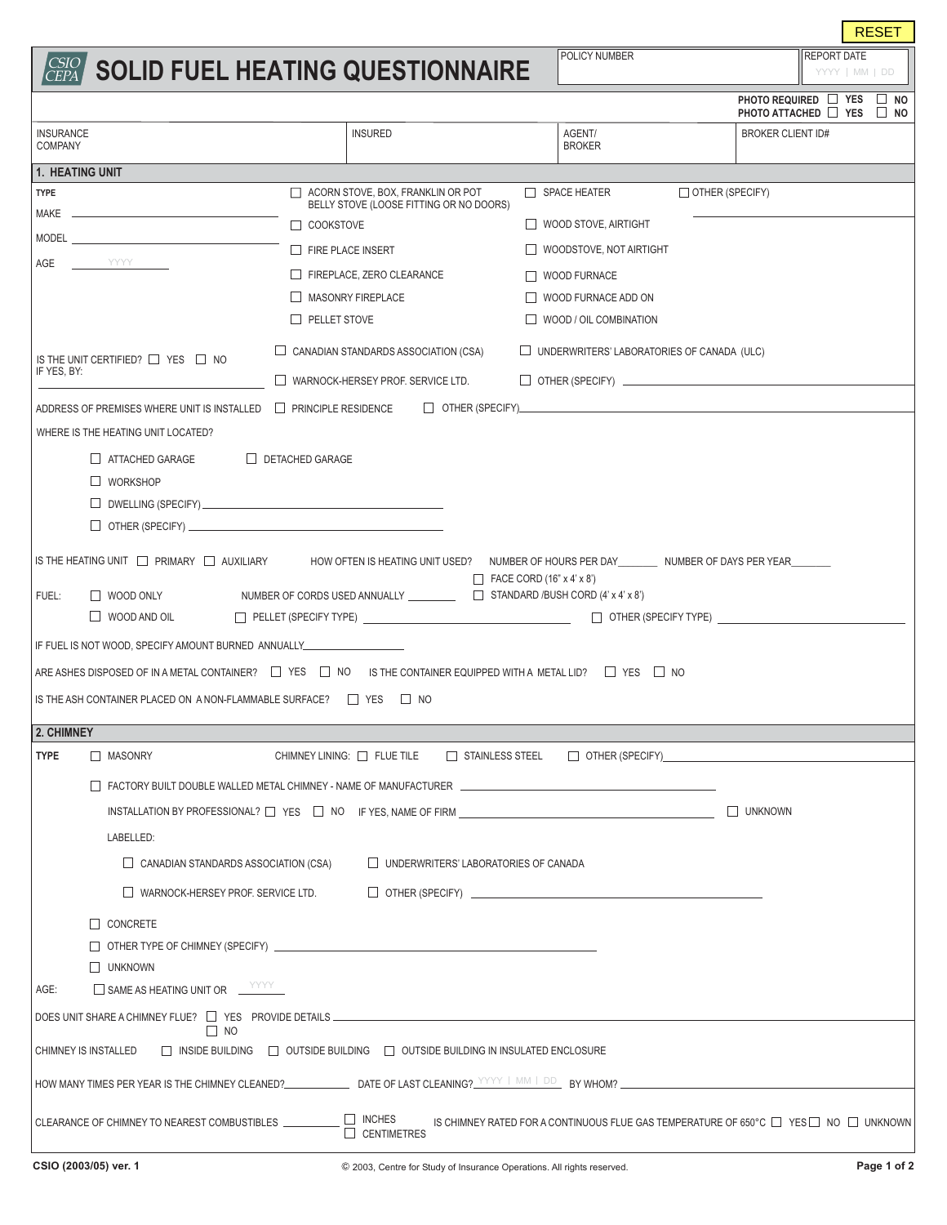|                                                                                                                                                                                                                                                                                                                                                                    |                                                                                                                                                                                                                               |                                                   | <b>RESET</b>                                                   |  |  |  |  |
|--------------------------------------------------------------------------------------------------------------------------------------------------------------------------------------------------------------------------------------------------------------------------------------------------------------------------------------------------------------------|-------------------------------------------------------------------------------------------------------------------------------------------------------------------------------------------------------------------------------|---------------------------------------------------|----------------------------------------------------------------|--|--|--|--|
| CSIO<br>CEPA                                                                                                                                                                                                                                                                                                                                                       | <b>SOLID FUEL HEATING QUESTIONNAIRE</b>                                                                                                                                                                                       | POLICY NUMBER                                     | <b>REPORT DATE</b><br>YYYY   MM   DD                           |  |  |  |  |
|                                                                                                                                                                                                                                                                                                                                                                    |                                                                                                                                                                                                                               |                                                   | PHOTO REQUIRED □ YES<br>$\Box$ NO<br>PHOTO ATTACHED □ YES □ NO |  |  |  |  |
| <b>INSURANCE</b><br><b>COMPANY</b>                                                                                                                                                                                                                                                                                                                                 | <b>INSURED</b>                                                                                                                                                                                                                | AGENT/<br><b>BROKER</b>                           | <b>BROKER CLIENT ID#</b>                                       |  |  |  |  |
| 1. HEATING UNIT                                                                                                                                                                                                                                                                                                                                                    |                                                                                                                                                                                                                               |                                                   |                                                                |  |  |  |  |
| $\Box$ ACORN STOVE, BOX, FRANKLIN OR POT<br>$\Box$ SPACE HEATER<br>OTHER (SPECIFY)<br><b>TYPE</b><br>BELLY STOVE (LOOSE FITTING OR NO DOORS)                                                                                                                                                                                                                       |                                                                                                                                                                                                                               |                                                   |                                                                |  |  |  |  |
| MAKE                                                                                                                                                                                                                                                                                                                                                               | $\Box$ COOKSTOVE                                                                                                                                                                                                              | $\Box$ WOOD STOVE, AIRTIGHT                       |                                                                |  |  |  |  |
| MODEL <b>MODEL</b>                                                                                                                                                                                                                                                                                                                                                 | $\Box$ FIRE PLACE INSERT                                                                                                                                                                                                      | $\Box$ WOODSTOVE, NOT AIRTIGHT                    |                                                                |  |  |  |  |
| AGE<br><b>TANA A TANA A TANA A TAN</b>                                                                                                                                                                                                                                                                                                                             | FIREPLACE, ZERO CLEARANCE                                                                                                                                                                                                     | $\Box$ WOOD FURNACE                               |                                                                |  |  |  |  |
|                                                                                                                                                                                                                                                                                                                                                                    | MASONRY FIREPLACE                                                                                                                                                                                                             | WOOD FURNACE ADD ON                               |                                                                |  |  |  |  |
|                                                                                                                                                                                                                                                                                                                                                                    | $\Box$ PELLET STOVE                                                                                                                                                                                                           | $\Box$ WOOD / OIL COMBINATION                     |                                                                |  |  |  |  |
| IS THE UNIT CERTIFIED? $\Box$ YES $\Box$ NO<br>IF YES, BY:                                                                                                                                                                                                                                                                                                         | $\Box$ CANADIAN STANDARDS ASSOCIATION (CSA)                                                                                                                                                                                   | $\Box$ UNDERWRITERS' LABORATORIES OF CANADA (ULC) |                                                                |  |  |  |  |
|                                                                                                                                                                                                                                                                                                                                                                    | $\Box$ WARNOCK-HERSEY PROF. SERVICE LTD.                                                                                                                                                                                      | $\Box$ OTHER (SPECIFY) $\Box$                     |                                                                |  |  |  |  |
| ADDRESS OF PREMISES WHERE UNIT IS INSTALLED                                                                                                                                                                                                                                                                                                                        | <b>FRINCIPLE RESIDENCE</b>                                                                                                                                                                                                    |                                                   |                                                                |  |  |  |  |
| WHERE IS THE HEATING UNIT LOCATED?                                                                                                                                                                                                                                                                                                                                 |                                                                                                                                                                                                                               |                                                   |                                                                |  |  |  |  |
| ATTACHED GARAGE                                                                                                                                                                                                                                                                                                                                                    | DETACHED GARAGE                                                                                                                                                                                                               |                                                   |                                                                |  |  |  |  |
| $\Box$ WORKSHOP                                                                                                                                                                                                                                                                                                                                                    |                                                                                                                                                                                                                               |                                                   |                                                                |  |  |  |  |
|                                                                                                                                                                                                                                                                                                                                                                    |                                                                                                                                                                                                                               |                                                   |                                                                |  |  |  |  |
| $\Box$ OTHER (SPECIFY) $\Box$                                                                                                                                                                                                                                                                                                                                      |                                                                                                                                                                                                                               |                                                   |                                                                |  |  |  |  |
| IS THE HEATING UNIT $\Box$ PRIMARY $\Box$ AUXILIARY<br>HOW OFTEN IS HEATING UNIT USED? NUMBER OF HOURS PER DAY NUMBER OF DAYS PER YEAR<br>$\Box$ FACE CORD (16" x 4' x 8")<br>□ WOOD ONLY NUMBER OF CORDS USED ANNUALLY UNIT STANDARD /BUSH CORD (4' x 4' x 8')<br>FUEL:<br>$\Box$ PELLET (SPECIFY TYPE) $\Box$ OTHER (SPECIFY TYPE) $\Box$<br>$\Box$ WOOD AND OIL |                                                                                                                                                                                                                               |                                                   |                                                                |  |  |  |  |
| IF FUEL IS NOT WOOD, SPECIFY AMOUNT BURNED ANNUALLY                                                                                                                                                                                                                                                                                                                |                                                                                                                                                                                                                               |                                                   |                                                                |  |  |  |  |
| ARE ASHES DISPOSED OF IN A METAL CONTAINER? $\Box$ YES $\Box$ NO IS THE CONTAINER EQUIPPED WITH A METAL LID? $\Box$ YES $\Box$ NO                                                                                                                                                                                                                                  |                                                                                                                                                                                                                               |                                                   |                                                                |  |  |  |  |
| IS THE ASH CONTAINER PLACED ON A NON-FLAMMABLE SURFACE? $\Box$ YES $\Box$ NO                                                                                                                                                                                                                                                                                       |                                                                                                                                                                                                                               |                                                   |                                                                |  |  |  |  |
| 2. CHIMNEY                                                                                                                                                                                                                                                                                                                                                         |                                                                                                                                                                                                                               |                                                   |                                                                |  |  |  |  |
| <b>TYPE</b><br>$\Box$ MASONRY                                                                                                                                                                                                                                                                                                                                      | CHIMNEY LINING: □ FLUE TILE □ STAINLESS STEEL                                                                                                                                                                                 |                                                   | $\Box$ OTHER (SPECIFY)                                         |  |  |  |  |
|                                                                                                                                                                                                                                                                                                                                                                    | FACTORY BUILT DOUBLE WALLED METAL CHIMNEY - NAME OF MANUFACTURER THE CONDUCTION OF THE CONDUCT OF THE CONDUCT OF THE CONDUCT OF THE CONDUCT OF THE CONDUCT OF THE CONDUCT OF THE CONDUCT OF THE CONDUCT OF THE CONDUCT OF THE |                                                   |                                                                |  |  |  |  |
| INSTALLATION BY PROFESSIONAL? $\Box$ YES $\Box$ NO IF YES, NAME OF FIRM $\Box$<br>$\Box$ UNKNOWN                                                                                                                                                                                                                                                                   |                                                                                                                                                                                                                               |                                                   |                                                                |  |  |  |  |
| LABELLED:                                                                                                                                                                                                                                                                                                                                                          |                                                                                                                                                                                                                               |                                                   |                                                                |  |  |  |  |
| $\Box$ CANADIAN STANDARDS ASSOCIATION (CSA)<br>$\Box$ UNDERWRITERS' LABORATORIES OF CANADA                                                                                                                                                                                                                                                                         |                                                                                                                                                                                                                               |                                                   |                                                                |  |  |  |  |
| $\Box$ WARNOCK-HERSEY PROF. SERVICE LTD.                                                                                                                                                                                                                                                                                                                           |                                                                                                                                                                                                                               |                                                   |                                                                |  |  |  |  |
|                                                                                                                                                                                                                                                                                                                                                                    |                                                                                                                                                                                                                               |                                                   |                                                                |  |  |  |  |
| $\Box$ CONCRETE                                                                                                                                                                                                                                                                                                                                                    |                                                                                                                                                                                                                               |                                                   |                                                                |  |  |  |  |
| $\Box$ UNKNOWN                                                                                                                                                                                                                                                                                                                                                     |                                                                                                                                                                                                                               |                                                   |                                                                |  |  |  |  |
| $\Box$ SAME AS HEATING UNIT OR $\Box$ YYYY<br>AGE:                                                                                                                                                                                                                                                                                                                 |                                                                                                                                                                                                                               |                                                   |                                                                |  |  |  |  |
| $\Box$ NO                                                                                                                                                                                                                                                                                                                                                          |                                                                                                                                                                                                                               |                                                   |                                                                |  |  |  |  |
| □ INSIDE BUILDING □ OUTSIDE BUILDING □ OUTSIDE BUILDING IN INSULATED ENCLOSURE<br>CHIMNEY IS INSTALLED                                                                                                                                                                                                                                                             |                                                                                                                                                                                                                               |                                                   |                                                                |  |  |  |  |
| HOW MANY TIMES PER YEAR IS THE CHIMNEY CLEANED? DATE OF LAST CLEANING? WWW ARR AND BY WHOM?                                                                                                                                                                                                                                                                        |                                                                                                                                                                                                                               |                                                   |                                                                |  |  |  |  |
| $\Box$ INCHES<br>CLEARANCE OF CHIMNEY TO NEAREST COMBUSTIBLES<br>IS CHIMNEY RATED FOR A CONTINUOUS FLUE GAS TEMPERATURE OF 650°C $\Box$ YES $\Box$ NO $\Box$ UNKNOWN<br>$\Box$ CENTIMETRES                                                                                                                                                                         |                                                                                                                                                                                                                               |                                                   |                                                                |  |  |  |  |